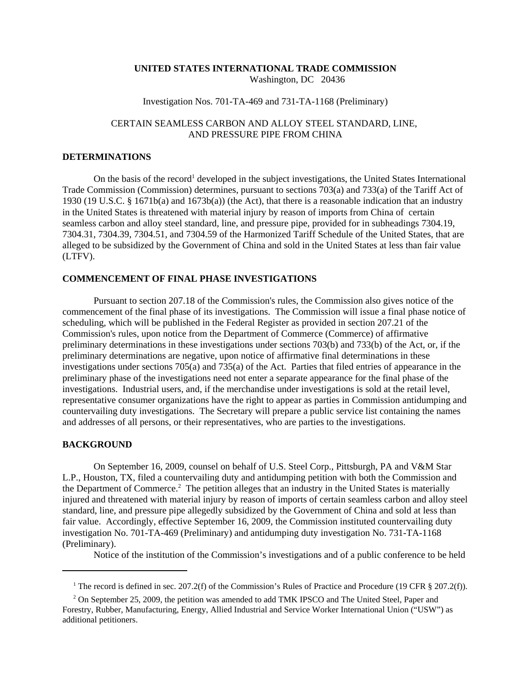#### **UNITED STATES INTERNATIONAL TRADE COMMISSION** Washington, DC 20436

# Investigation Nos. 701-TA-469 and 731-TA-1168 (Preliminary)

## CERTAIN SEAMLESS CARBON AND ALLOY STEEL STANDARD, LINE, AND PRESSURE PIPE FROM CHINA

### **DETERMINATIONS**

On the basis of the record<sup>1</sup> developed in the subject investigations, the United States International Trade Commission (Commission) determines, pursuant to sections 703(a) and 733(a) of the Tariff Act of 1930 (19 U.S.C. § 1671b(a) and 1673b(a)) (the Act), that there is a reasonable indication that an industry in the United States is threatened with material injury by reason of imports from China of certain seamless carbon and alloy steel standard, line, and pressure pipe, provided for in subheadings 7304.19, 7304.31, 7304.39, 7304.51, and 7304.59 of the Harmonized Tariff Schedule of the United States, that are alleged to be subsidized by the Government of China and sold in the United States at less than fair value (LTFV).

### **COMMENCEMENT OF FINAL PHASE INVESTIGATIONS**

Pursuant to section 207.18 of the Commission's rules, the Commission also gives notice of the commencement of the final phase of its investigations. The Commission will issue a final phase notice of scheduling, which will be published in the Federal Register as provided in section 207.21 of the Commission's rules, upon notice from the Department of Commerce (Commerce) of affirmative preliminary determinations in these investigations under sections 703(b) and 733(b) of the Act, or, if the preliminary determinations are negative, upon notice of affirmative final determinations in these investigations under sections 705(a) and 735(a) of the Act. Parties that filed entries of appearance in the preliminary phase of the investigations need not enter a separate appearance for the final phase of the investigations. Industrial users, and, if the merchandise under investigations is sold at the retail level, representative consumer organizations have the right to appear as parties in Commission antidumping and countervailing duty investigations. The Secretary will prepare a public service list containing the names and addresses of all persons, or their representatives, who are parties to the investigations.

#### **BACKGROUND**

On September 16, 2009, counsel on behalf of U.S. Steel Corp., Pittsburgh, PA and V&M Star L.P., Houston, TX, filed a countervailing duty and antidumping petition with both the Commission and the Department of Commerce.<sup>2</sup> The petition alleges that an industry in the United States is materially injured and threatened with material injury by reason of imports of certain seamless carbon and alloy steel standard, line, and pressure pipe allegedly subsidized by the Government of China and sold at less than fair value. Accordingly, effective September 16, 2009, the Commission instituted countervailing duty investigation No. 701-TA-469 (Preliminary) and antidumping duty investigation No. 731-TA-1168 (Preliminary).

Notice of the institution of the Commission's investigations and of a public conference to be held

<sup>&</sup>lt;sup>1</sup> The record is defined in sec. 207.2(f) of the Commission's Rules of Practice and Procedure (19 CFR § 207.2(f)).

<sup>&</sup>lt;sup>2</sup> On September 25, 2009, the petition was amended to add TMK IPSCO and The United Steel, Paper and Forestry, Rubber, Manufacturing, Energy, Allied Industrial and Service Worker International Union ("USW") as additional petitioners.